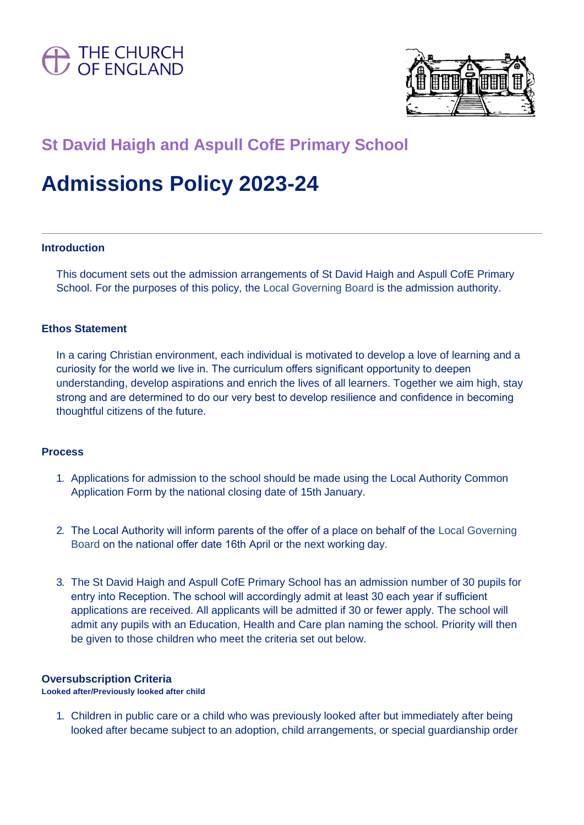



# **St David Haigh and Aspull CofE Primary School**

# **Admissions Policy 2023-24**

#### **Introduction**

This document sets out the admission arrangements of St David Haigh and Aspull CofE Primary School. For the purposes of this policy, the Local Governing Board is the admission authority.

# **Ethos Statement**

In a caring Christian environment, each individual is motivated to develop a love of learning and a curiosity for the world we live in. The curriculum offers significant opportunity to deepen understanding, develop aspirations and enrich the lives of all learners. Together we aim high, stay strong and are determined to do our very best to develop resilience and confidence in becoming thoughtful citizens of the future.

#### **Process**

- 1. Applications for admission to the school should be made using the Local Authority Common Application Form by the national closing date of 15th January.
- 2. The Local Authority will inform parents of the offer of a place on behalf of the Local Governing Board on the national offer date 16th April or the next working day.
- 3. The St David Haigh and Aspull CofE Primary School has an admission number of 30 pupils for entry into Reception. The school will accordingly admit at least 30 each year if sufficient applications are received. All applicants will be admitted if 30 or fewer apply. The school will admit any pupils with an Education, Health and Care plan naming the school. Priority will then be given to those children who meet the criteria set out below.

# **Oversubscription Criteria**

**Looked after/Previously looked after child**

1. Children in public care or a child who was previously looked after but immediately after being looked after became subject to an adoption, child arrangements, or special guardianship order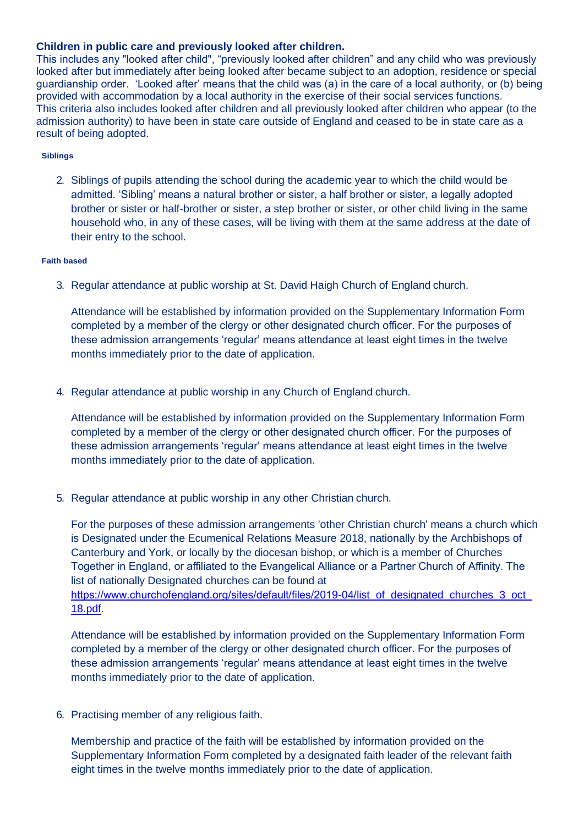## **Children in public care and previously looked after children.**

This includes any "looked after child", "previously looked after children" and any child who was previously looked after but immediately after being looked after became subject to an adoption, residence or special guardianship order. 'Looked after' means that the child was (a) in the care of a local authority, or (b) being provided with accommodation by a local authority in the exercise of their social services functions. This criteria also includes looked after children and all previously looked after children who appear (to the admission authority) to have been in state care outside of England and ceased to be in state care as a result of being adopted.

#### **Siblings**

2. Siblings of pupils attending the school during the academic year to which the child would be admitted. 'Sibling' means a natural brother or sister, a half brother or sister, a legally adopted brother or sister or half-brother or sister, a step brother or sister, or other child living in the same household who, in any of these cases, will be living with them at the same address at the date of their entry to the school.

#### **Faith based**

3. Regular attendance at public worship at St. David Haigh Church of England church.

Attendance will be established by information provided on the Supplementary Information Form completed by a member of the clergy or other designated church officer. For the purposes of these admission arrangements 'regular' means attendance at least eight times in the twelve months immediately prior to the date of application.

4. Regular attendance at public worship in any Church of England church.

Attendance will be established by information provided on the Supplementary Information Form completed by a member of the clergy or other designated church officer. For the purposes of these admission arrangements 'regular' means attendance at least eight times in the twelve months immediately prior to the date of application.

5. Regular attendance at public worship in any other Christian church.

For the purposes of these admission arrangements 'other Christian church' means a church which is Designated under the Ecumenical Relations Measure 2018, nationally by the Archbishops of Canterbury and York, or locally by the diocesan bishop, or which is a member of Churches Together in England, or affiliated to the Evangelical Alliance or a Partner Church of Affinity. The list of nationally Designated churches can be found at

[https://www.churchofengland.org/sites/default/files/2019-04/list\\_of\\_designated\\_churches\\_3\\_oct\\_](https://www.churchofengland.org/sites/default/files/2019-04/list_of_designated_churches_3_oct_18.pdf) [18.pdf.](https://www.churchofengland.org/sites/default/files/2019-04/list_of_designated_churches_3_oct_18.pdf)

Attendance will be established by information provided on the Supplementary Information Form completed by a member of the clergy or other designated church officer. For the purposes of these admission arrangements 'regular' means attendance at least eight times in the twelve months immediately prior to the date of application.

6. Practising member of any religious faith.

Membership and practice of the faith will be established by information provided on the Supplementary Information Form completed by a designated faith leader of the relevant faith eight times in the twelve months immediately prior to the date of application.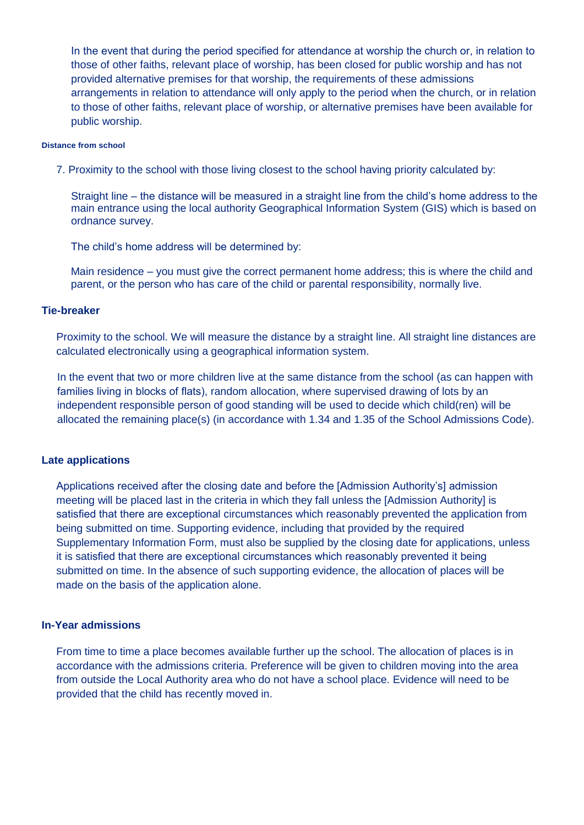In the event that during the period specified for attendance at worship the church or, in relation to those of other faiths, relevant place of worship, has been closed for public worship and has not provided alternative premises for that worship, the requirements of these admissions arrangements in relation to attendance will only apply to the period when the church, or in relation to those of other faiths, relevant place of worship, or alternative premises have been available for public worship.

#### **Distance from school**

7. Proximity to the school with those living closest to the school having priority calculated by:

Straight line – the distance will be measured in a straight line from the child's home address to the main entrance using the local authority Geographical Information System (GIS) which is based on ordnance survey.

The child's home address will be determined by:

Main residence – you must give the correct permanent home address; this is where the child and parent, or the person who has care of the child or parental responsibility, normally live.

#### **Tie-breaker**

Proximity to the school. We will measure the distance by a straight line. All straight line distances are calculated electronically using a geographical information system.

In the event that two or more children live at the same distance from the school (as can happen with families living in blocks of flats), random allocation, where supervised drawing of lots by an independent responsible person of good standing will be used to decide which child(ren) will be allocated the remaining place(s) (in accordance with 1.34 and 1.35 of the School Admissions Code).

#### **Late applications**

Applications received after the closing date and before the [Admission Authority's] admission meeting will be placed last in the criteria in which they fall unless the [Admission Authority] is satisfied that there are exceptional circumstances which reasonably prevented the application from being submitted on time. Supporting evidence, including that provided by the required Supplementary Information Form, must also be supplied by the closing date for applications, unless it is satisfied that there are exceptional circumstances which reasonably prevented it being submitted on time. In the absence of such supporting evidence, the allocation of places will be made on the basis of the application alone.

#### **In-Year admissions**

From time to time a place becomes available further up the school. The allocation of places is in accordance with the admissions criteria. Preference will be given to children moving into the area from outside the Local Authority area who do not have a school place. Evidence will need to be provided that the child has recently moved in.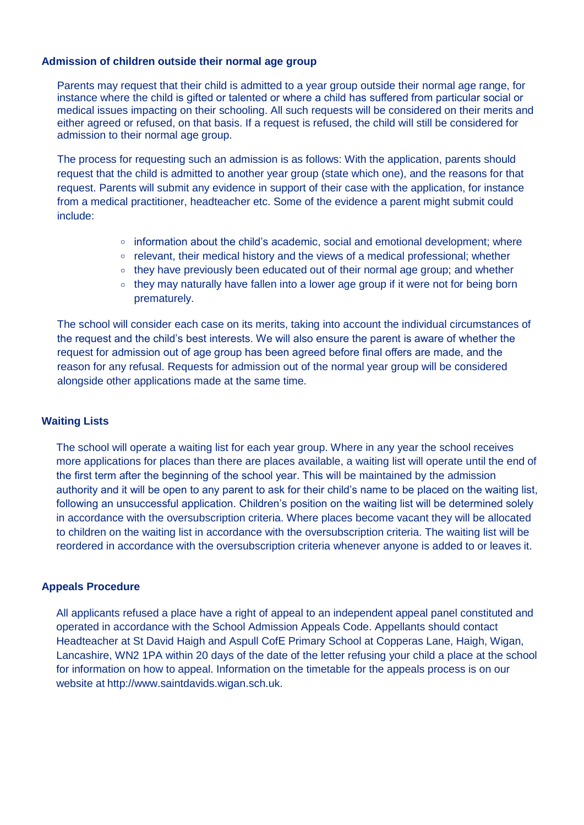# **Admission of children outside their normal age group**

Parents may request that their child is admitted to a year group outside their normal age range, for instance where the child is gifted or talented or where a child has suffered from particular social or medical issues impacting on their schooling. All such requests will be considered on their merits and either agreed or refused, on that basis. If a request is refused, the child will still be considered for admission to their normal age group.

The process for requesting such an admission is as follows: With the application, parents should request that the child is admitted to another year group (state which one), and the reasons for that request. Parents will submit any evidence in support of their case with the application, for instance from a medical practitioner, headteacher etc. Some of the evidence a parent might submit could include:

- $\circ$  information about the child's academic, social and emotional development; where
- $\circ$  relevant, their medical history and the views of a medical professional; whether
- they have previously been educated out of their normal age group; and whether
- $\circ$  they may naturally have fallen into a lower age group if it were not for being born prematurely.

The school will consider each case on its merits, taking into account the individual circumstances of the request and the child's best interests. We will also ensure the parent is aware of whether the request for admission out of age group has been agreed before final offers are made, and the reason for any refusal. Requests for admission out of the normal year group will be considered alongside other applications made at the same time.

# **Waiting Lists**

The school will operate a waiting list for each year group. Where in any year the school receives more applications for places than there are places available, a waiting list will operate until the end of the first term after the beginning of the school year. This will be maintained by the admission authority and it will be open to any parent to ask for their child's name to be placed on the waiting list, following an unsuccessful application. Children's position on the waiting list will be determined solely in accordance with the oversubscription criteria. Where places become vacant they will be allocated to children on the waiting list in accordance with the oversubscription criteria. The waiting list will be reordered in accordance with the oversubscription criteria whenever anyone is added to or leaves it.

# **Appeals Procedure**

All applicants refused a place have a right of appeal to an independent appeal panel constituted and operated in accordance with the School Admission Appeals Code. Appellants should contact Headteacher at St David Haigh and Aspull CofE Primary School at Copperas Lane, Haigh, Wigan, Lancashire, WN2 1PA within 20 days of the date of the letter refusing your child a place at the school for information on how to appeal. Information on the timetable for the appeals process is on our website at [http://www.saintdavids.wigan.sch.uk.](http://www.saintdavids.wigan.sch.uk/)